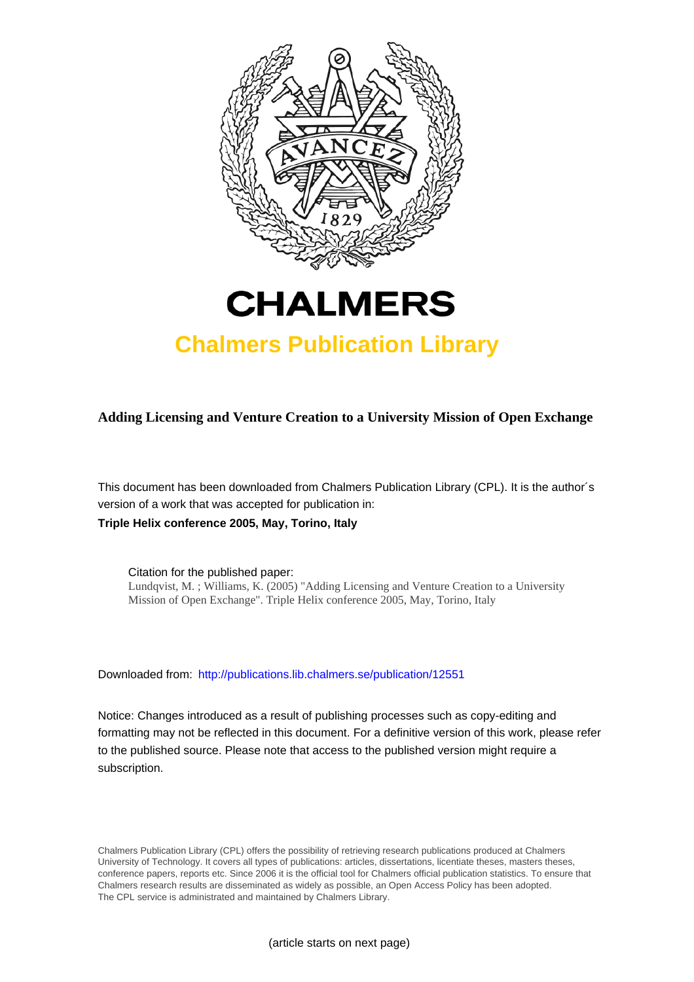

# **CHALMERS**

### **Chalmers Publication Library**

**Adding Licensing and Venture Creation to a University Mission of Open Exchange**

This document has been downloaded from Chalmers Publication Library (CPL). It is the author´s version of a work that was accepted for publication in: **Triple Helix conference 2005, May, Torino, Italy**

Citation for the published paper: Lundqvist, M. ; Williams, K. (2005) "Adding Licensing and Venture Creation to a University Mission of Open Exchange". Triple Helix conference 2005, May, Torino, Italy

Downloaded from: <http://publications.lib.chalmers.se/publication/12551>

Notice: Changes introduced as a result of publishing processes such as copy-editing and formatting may not be reflected in this document. For a definitive version of this work, please refer to the published source. Please note that access to the published version might require a subscription.

Chalmers Publication Library (CPL) offers the possibility of retrieving research publications produced at Chalmers University of Technology. It covers all types of publications: articles, dissertations, licentiate theses, masters theses, conference papers, reports etc. Since 2006 it is the official tool for Chalmers official publication statistics. To ensure that Chalmers research results are disseminated as widely as possible, an Open Access Policy has been adopted. The CPL service is administrated and maintained by Chalmers Library.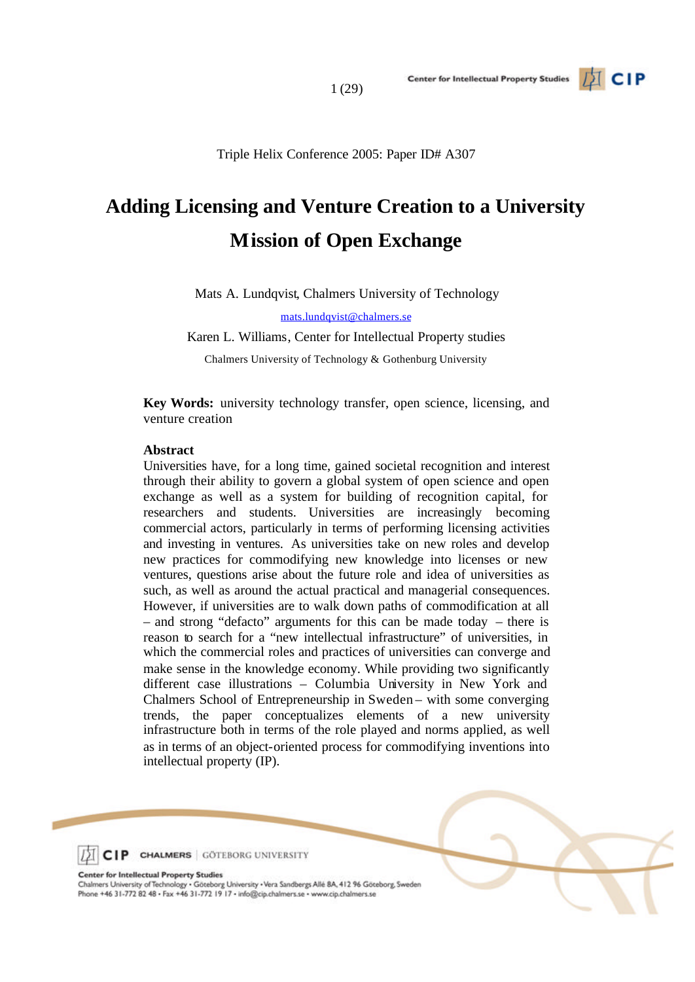

## **Adding Licensing and Venture Creation to a University Mission of Open Exchange**

Mats A. Lundqvist, Chalmers University of Technology

mats.lundqvist@chalmers.se

Karen L. Williams, Center for Intellectual Property studies

Chalmers University of Technology & Gothenburg University

**Key Words:** university technology transfer, open science, licensing, and venture creation

#### **Abstract**

Universities have, for a long time, gained societal recognition and interest through their ability to govern a global system of open science and open exchange as well as a system for building of recognition capital, for researchers and students. Universities are increasingly becoming commercial actors, particularly in terms of performing licensing activities and investing in ventures. As universities take on new roles and develop new practices for commodifying new knowledge into licenses or new ventures, questions arise about the future role and idea of universities as such, as well as around the actual practical and managerial consequences. However, if universities are to walk down paths of commodification at all – and strong "defacto" arguments for this can be made today – there is reason to search for a "new intellectual infrastructure" of universities, in which the commercial roles and practices of universities can converge and make sense in the knowledge economy. While providing two significantly different case illustrations – Columbia University in New York and Chalmers School of Entrepreneurship in Sweden – with some converging trends, the paper conceptualizes elements of a new university infrastructure both in terms of the role played and norms applied, as well as in terms of an object-oriented process for commodifying inventions into intellectual property (IP).



**Center for Intellectual Property Studies** 

Chalmers University of Technology . Göteborg University . Vera Sandbergs Allé 8A, 412 96 Göteborg, Sweden Phone +46 31-772 82 48 · Fax +46 31-772 19 17 · info@cip.chalmers.se · www.cip.chalmers.se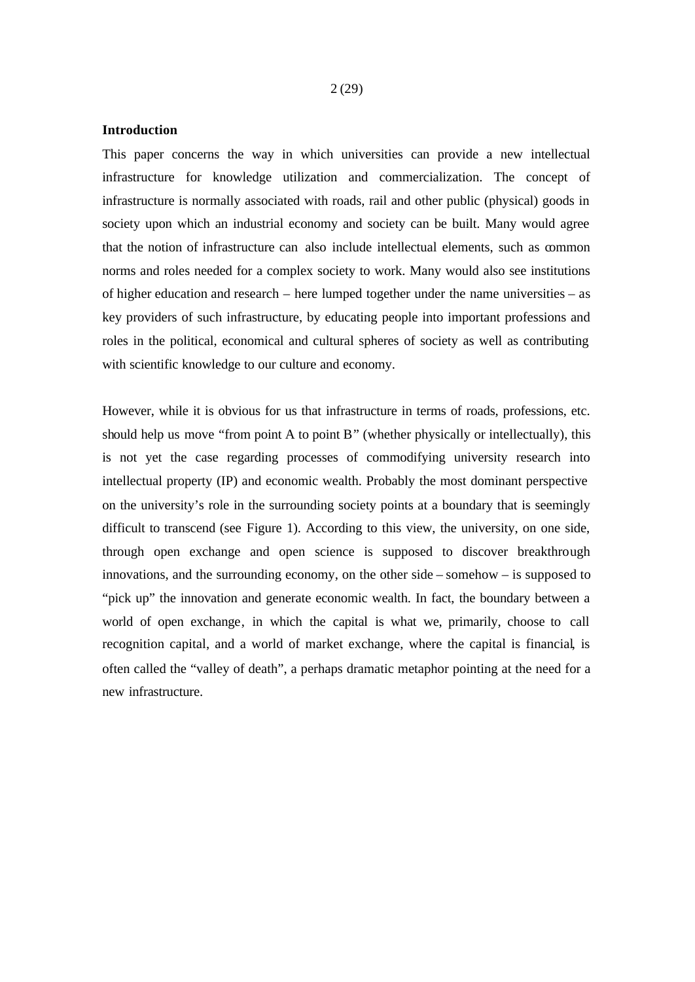#### **Introduction**

This paper concerns the way in which universities can provide a new intellectual infrastructure for knowledge utilization and commercialization. The concept of infrastructure is normally associated with roads, rail and other public (physical) goods in society upon which an industrial economy and society can be built. Many would agree that the notion of infrastructure can also include intellectual elements, such as common norms and roles needed for a complex society to work. Many would also see institutions of higher education and research – here lumped together under the name universities – as key providers of such infrastructure, by educating people into important professions and roles in the political, economical and cultural spheres of society as well as contributing with scientific knowledge to our culture and economy.

However, while it is obvious for us that infrastructure in terms of roads, professions, etc. should help us move "from point A to point B" (whether physically or intellectually), this is not yet the case regarding processes of commodifying university research into intellectual property (IP) and economic wealth. Probably the most dominant perspective on the university's role in the surrounding society points at a boundary that is seemingly difficult to transcend (see Figure 1). According to this view, the university, on one side, through open exchange and open science is supposed to discover breakthrough innovations, and the surrounding economy, on the other side – somehow – is supposed to "pick up" the innovation and generate economic wealth. In fact, the boundary between a world of open exchange, in which the capital is what we, primarily, choose to call recognition capital, and a world of market exchange, where the capital is financial, is often called the "valley of death", a perhaps dramatic metaphor pointing at the need for a new infrastructure.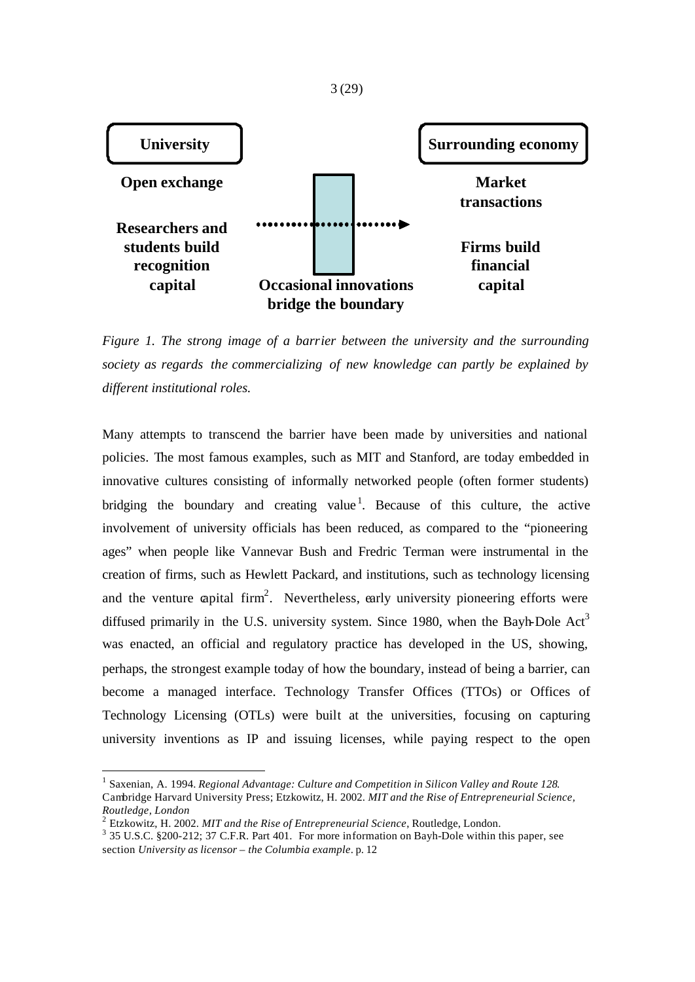

*Figure 1. The strong image of a barrier between the university and the surrounding society as regards the commercializing of new knowledge can partly be explained by different institutional roles.*

Many attempts to transcend the barrier have been made by universities and national policies. The most famous examples, such as MIT and Stanford, are today embedded in innovative cultures consisting of informally networked people (often former students) bridging the boundary and creating value<sup>1</sup>. Because of this culture, the active involvement of university officials has been reduced, as compared to the "pioneering ages" when people like Vannevar Bush and Fredric Terman were instrumental in the creation of firms, such as Hewlett Packard, and institutions, such as technology licensing and the venture capital firm<sup>2</sup>. Nevertheless, early university pioneering efforts were diffused primarily in the U.S. university system. Since 1980, when the Bayh-Dole  $Act<sup>3</sup>$ was enacted, an official and regulatory practice has developed in the US, showing, perhaps, the strongest example today of how the boundary, instead of being a barrier, can become a managed interface. Technology Transfer Offices (TTOs) or Offices of Technology Licensing (OTLs) were built at the universities, focusing on capturing university inventions as IP and issuing licenses, while paying respect to the open

3 (29)

<sup>&</sup>lt;sup>1</sup> Saxenian, A. 1994. *Regional Advantage: Culture and Competition in Silicon Valley and Route 128*. Cambridge Harvard University Press; Etzkowitz, H. 2002. *MIT and the Rise of Entrepreneurial Science, Routledge, London*

<sup>2</sup> Etzkowitz, H. 2002. *MIT and the Rise of Entrepreneurial Science*, Routledge, London.

<sup>&</sup>lt;sup>3</sup> 35 U.S.C. §200-212; 37 C.F.R. Part 401. For more information on Bayh-Dole within this paper, see section *University as licensor – the Columbia example*. p. 12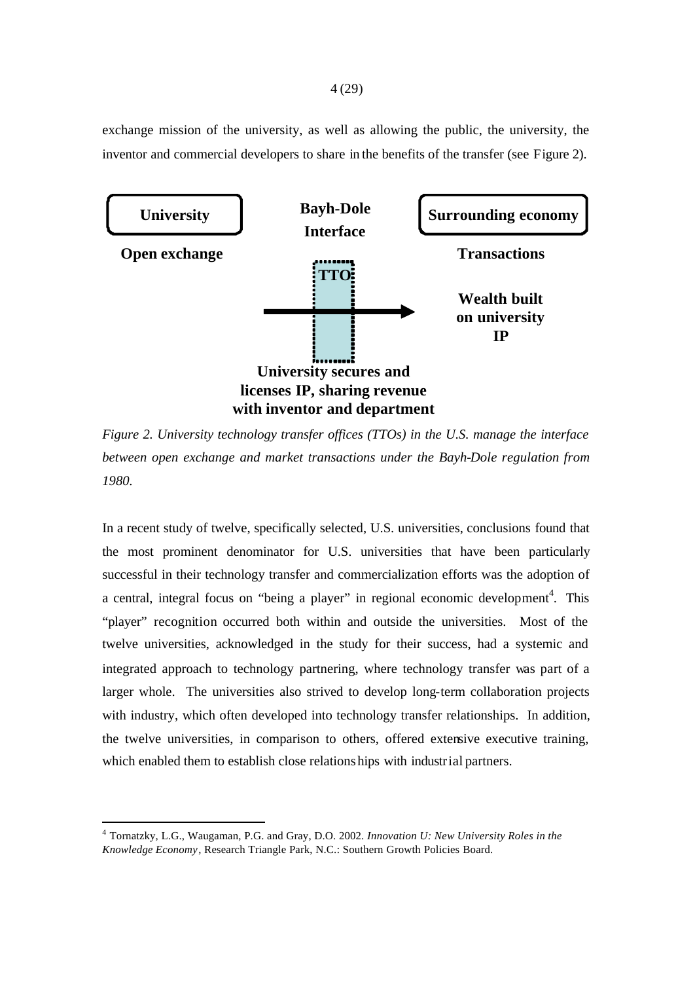exchange mission of the university, as well as allowing the public, the university, the inventor and commercial developers to share in the benefits of the transfer (see Figure 2).



*Figure 2. University technology transfer offices (TTOs) in the U.S. manage the interface between open exchange and market transactions under the Bayh-Dole regulation from 1980.*

In a recent study of twelve, specifically selected, U.S. universities, conclusions found that the most prominent denominator for U.S. universities that have been particularly successful in their technology transfer and commercialization efforts was the adoption of a central, integral focus on "being a player" in regional economic development<sup>4</sup>. This "player" recognition occurred both within and outside the universities. Most of the twelve universities, acknowledged in the study for their success, had a systemic and integrated approach to technology partnering, where technology transfer was part of a larger whole. The universities also strived to develop long-term collaboration projects with industry, which often developed into technology transfer relationships. In addition, the twelve universities, in comparison to others, offered extensive executive training, which enabled them to establish close relations hips with industrial partners.

<sup>4</sup> Tornatzky, L.G., Waugaman, P.G. and Gray, D.O. 2002. *Innovation U: New University Roles in the Knowledge Economy*, Research Triangle Park, N.C.: Southern Growth Policies Board.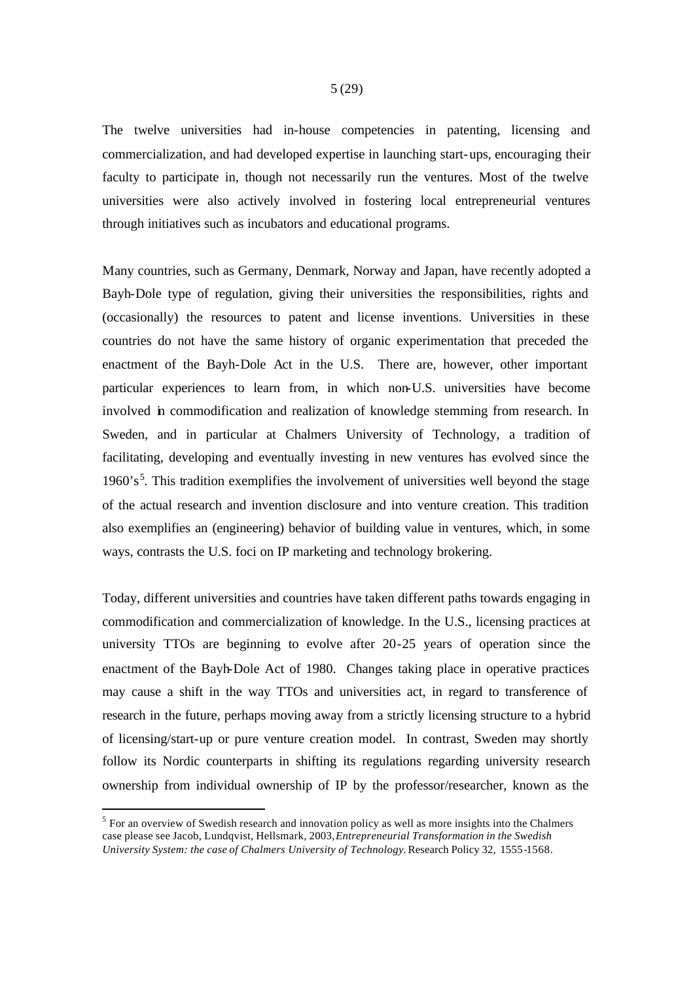The twelve universities had in-house competencies in patenting, licensing and commercialization, and had developed expertise in launching start-ups, encouraging their faculty to participate in, though not necessarily run the ventures. Most of the twelve universities were also actively involved in fostering local entrepreneurial ventures through initiatives such as incubators and educational programs.

Many countries, such as Germany, Denmark, Norway and Japan, have recently adopted a Bayh-Dole type of regulation, giving their universities the responsibilities, rights and (occasionally) the resources to patent and license inventions. Universities in these countries do not have the same history of organic experimentation that preceded the enactment of the Bayh-Dole Act in the U.S. There are, however, other important particular experiences to learn from, in which non-U.S. universities have become involved in commodification and realization of knowledge stemming from research. In Sweden, and in particular at Chalmers University of Technology, a tradition of facilitating, developing and eventually investing in new ventures has evolved since the  $1960's<sup>5</sup>$ . This tradition exemplifies the involvement of universities well beyond the stage of the actual research and invention disclosure and into venture creation. This tradition also exemplifies an (engineering) behavior of building value in ventures, which, in some ways, contrasts the U.S. foci on IP marketing and technology brokering.

Today, different universities and countries have taken different paths towards engaging in commodification and commercialization of knowledge. In the U.S., licensing practices at university TTOs are beginning to evolve after 20-25 years of operation since the enactment of the Bayh-Dole Act of 1980. Changes taking place in operative practices may cause a shift in the way TTOs and universities act, in regard to transference of research in the future, perhaps moving away from a strictly licensing structure to a hybrid of licensing/start-up or pure venture creation model. In contrast, Sweden may shortly follow its Nordic counterparts in shifting its regulations regarding university research ownership from individual ownership of IP by the professor/researcher, known as the

 $<sup>5</sup>$  For an overview of Swedish research and innovation policy as well as more insights into the Chalmers</sup> case please see Jacob, Lundqvist, Hellsmark, 2003, *Entrepreneurial Transformation in the Swedish University System: the case of Chalmers University of Technology.* Research Policy 32, 1555-1568.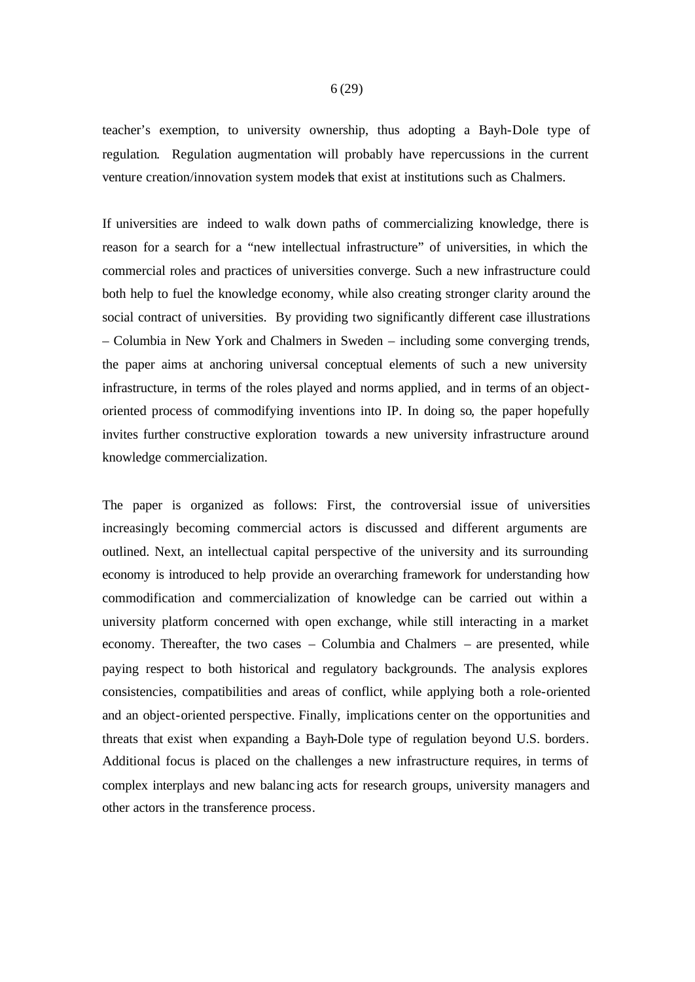teacher's exemption, to university ownership, thus adopting a Bayh-Dole type of regulation. Regulation augmentation will probably have repercussions in the current venture creation/innovation system models that exist at institutions such as Chalmers.

If universities are indeed to walk down paths of commercializing knowledge, there is reason for a search for a "new intellectual infrastructure" of universities, in which the commercial roles and practices of universities converge. Such a new infrastructure could both help to fuel the knowledge economy, while also creating stronger clarity around the social contract of universities. By providing two significantly different case illustrations – Columbia in New York and Chalmers in Sweden – including some converging trends, the paper aims at anchoring universal conceptual elements of such a new university infrastructure, in terms of the roles played and norms applied, and in terms of an objectoriented process of commodifying inventions into IP. In doing so, the paper hopefully invites further constructive exploration towards a new university infrastructure around knowledge commercialization.

The paper is organized as follows: First, the controversial issue of universities increasingly becoming commercial actors is discussed and different arguments are outlined. Next, an intellectual capital perspective of the university and its surrounding economy is introduced to help provide an overarching framework for understanding how commodification and commercialization of knowledge can be carried out within a university platform concerned with open exchange, while still interacting in a market economy. Thereafter, the two cases – Columbia and Chalmers – are presented, while paying respect to both historical and regulatory backgrounds. The analysis explores consistencies, compatibilities and areas of conflict, while applying both a role-oriented and an object-oriented perspective. Finally, implications center on the opportunities and threats that exist when expanding a Bayh-Dole type of regulation beyond U.S. borders. Additional focus is placed on the challenges a new infrastructure requires, in terms of complex interplays and new balanc ing acts for research groups, university managers and other actors in the transference process.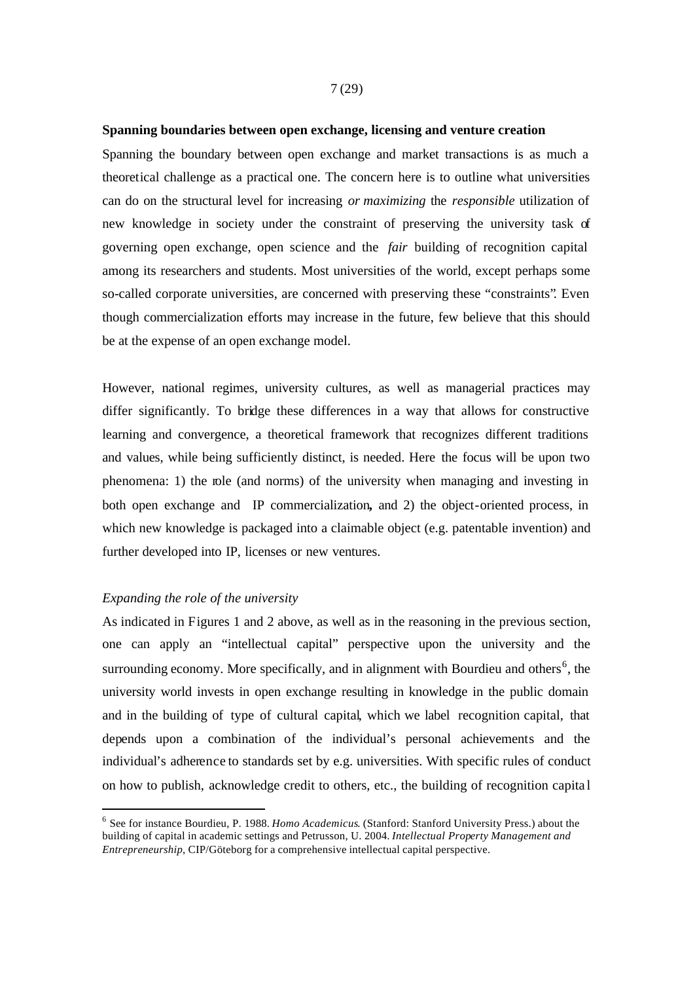#### **Spanning boundaries between open exchange, licensing and venture creation**

Spanning the boundary between open exchange and market transactions is as much a theoretical challenge as a practical one. The concern here is to outline what universities can do on the structural level for increasing *or maximizing* the *responsible* utilization of new knowledge in society under the constraint of preserving the university task of governing open exchange, open science and the *fair* building of recognition capital among its researchers and students. Most universities of the world, except perhaps some so-called corporate universities, are concerned with preserving these "constraints". Even though commercialization efforts may increase in the future, few believe that this should be at the expense of an open exchange model.

However, national regimes, university cultures, as well as managerial practices may differ significantly. To bridge these differences in a way that allows for constructive learning and convergence, a theoretical framework that recognizes different traditions and values, while being sufficiently distinct, is needed. Here the focus will be upon two phenomena: 1) the role (and norms) of the university when managing and investing in both open exchange and IP commercialization**,** and 2) the object-oriented process, in which new knowledge is packaged into a claimable object (e.g. patentable invention) and further developed into IP, licenses or new ventures.

#### *Expanding the role of the university*

As indicated in Figures 1 and 2 above, as well as in the reasoning in the previous section, one can apply an "intellectual capital" perspective upon the university and the surrounding economy. More specifically, and in alignment with Bourdieu and others<sup>6</sup>, the university world invests in open exchange resulting in knowledge in the public domain and in the building of type of cultural capital, which we label recognition capital, that depends upon a combination of the individual's personal achievements and the individual's adherence to standards set by e.g. universities. With specific rules of conduct on how to publish, acknowledge credit to others, etc., the building of recognition capita l

<sup>6</sup> See for instance Bourdieu, P. 1988. *Homo Academicus*. (Stanford: Stanford University Press.) about the building of capital in academic settings and Petrusson, U. 2004. *Intellectual Property Management and Entrepreneurship*, CIP/Göteborg for a comprehensive intellectual capital perspective.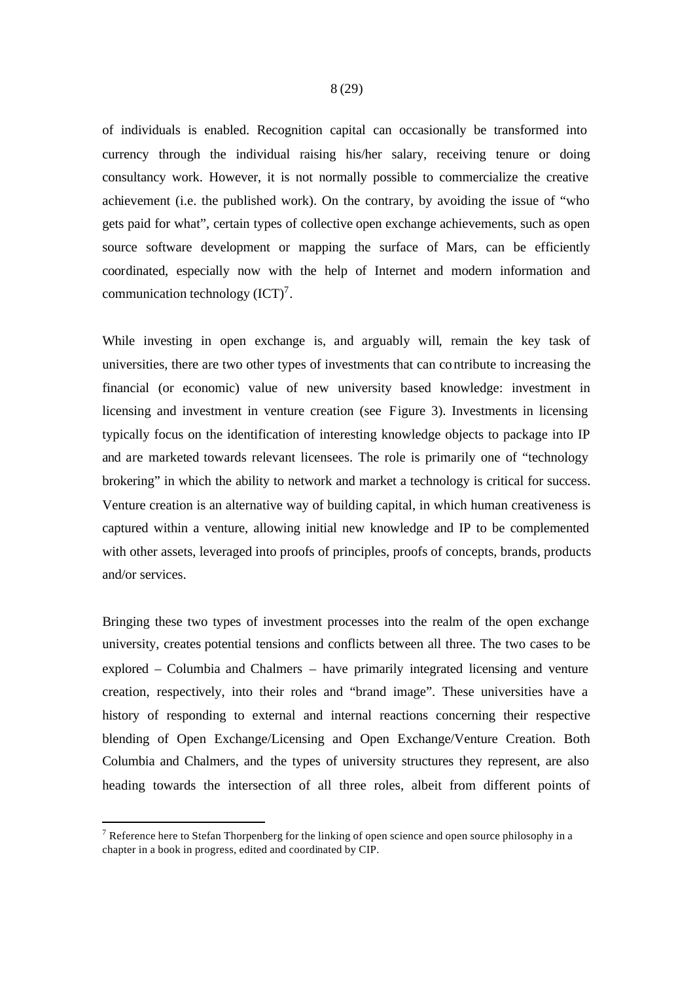of individuals is enabled. Recognition capital can occasionally be transformed into currency through the individual raising his/her salary, receiving tenure or doing consultancy work. However, it is not normally possible to commercialize the creative achievement (i.e. the published work). On the contrary, by avoiding the issue of "who gets paid for what", certain types of collective open exchange achievements, such as open source software development or mapping the surface of Mars, can be efficiently coordinated, especially now with the help of Internet and modern information and communication technology  $(ICT)^7$ .

While investing in open exchange is, and arguably will, remain the key task of universities, there are two other types of investments that can co ntribute to increasing the financial (or economic) value of new university based knowledge: investment in licensing and investment in venture creation (see Figure 3). Investments in licensing typically focus on the identification of interesting knowledge objects to package into IP and are marketed towards relevant licensees. The role is primarily one of "technology brokering" in which the ability to network and market a technology is critical for success. Venture creation is an alternative way of building capital, in which human creativeness is captured within a venture, allowing initial new knowledge and IP to be complemented with other assets, leveraged into proofs of principles, proofs of concepts, brands, products and/or services.

Bringing these two types of investment processes into the realm of the open exchange university, creates potential tensions and conflicts between all three. The two cases to be explored – Columbia and Chalmers – have primarily integrated licensing and venture creation, respectively, into their roles and "brand image". These universities have a history of responding to external and internal reactions concerning their respective blending of Open Exchange/Licensing and Open Exchange/Venture Creation. Both Columbia and Chalmers, and the types of university structures they represent, are also heading towards the intersection of all three roles, albeit from different points of

<sup>&</sup>lt;sup>7</sup> Reference here to Stefan Thorpenberg for the linking of open science and open source philosophy in a chapter in a book in progress, edited and coordinated by CIP.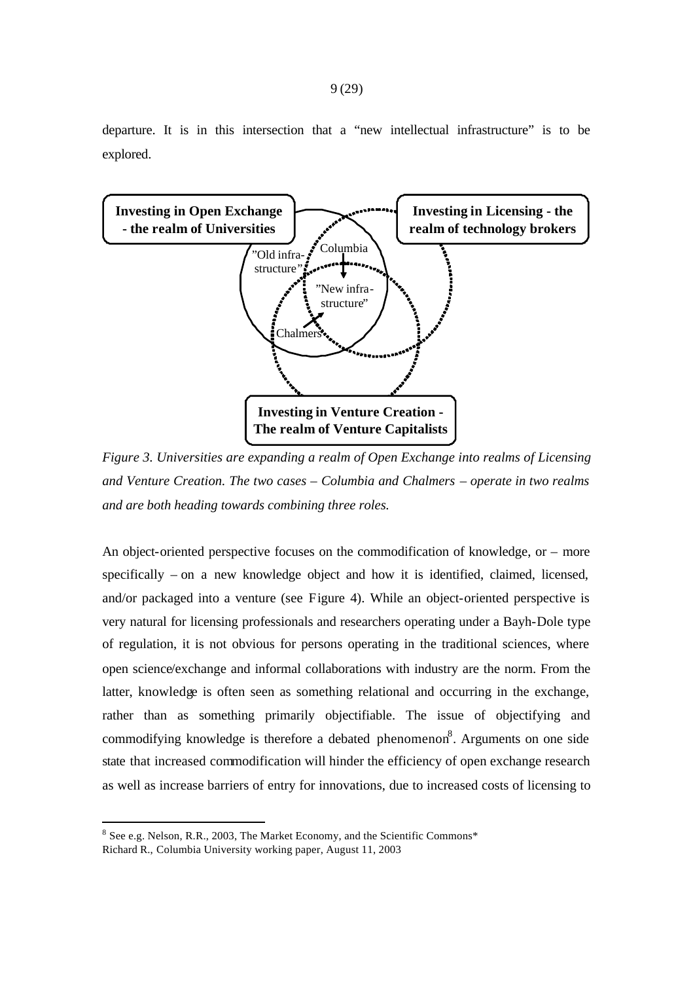departure. It is in this intersection that a "new intellectual infrastructure" is to be explored.



*Figure 3. Universities are expanding a realm of Open Exchange into realms of Licensing and Venture Creation. The two cases – Columbia and Chalmers – operate in two realms and are both heading towards combining three roles.* 

An object-oriented perspective focuses on the commodification of knowledge, or – more specifically – on a new knowledge object and how it is identified, claimed, licensed, and/or packaged into a venture (see Figure 4). While an object-oriented perspective is very natural for licensing professionals and researchers operating under a Bayh-Dole type of regulation, it is not obvious for persons operating in the traditional sciences, where open science/exchange and informal collaborations with industry are the norm. From the latter, knowledge is often seen as something relational and occurring in the exchange, rather than as something primarily objectifiable. The issue of objectifying and commodifying knowledge is therefore a debated phenomenon<sup>8</sup>. Arguments on one side state that increased commodification will hinder the efficiency of open exchange research as well as increase barriers of entry for innovations, due to increased costs of licensing to

<sup>&</sup>lt;sup>8</sup> See e.g. Nelson, R.R., 2003, The Market Economy, and the Scientific Commons\* Richard R., Columbia University working paper, August 11, 2003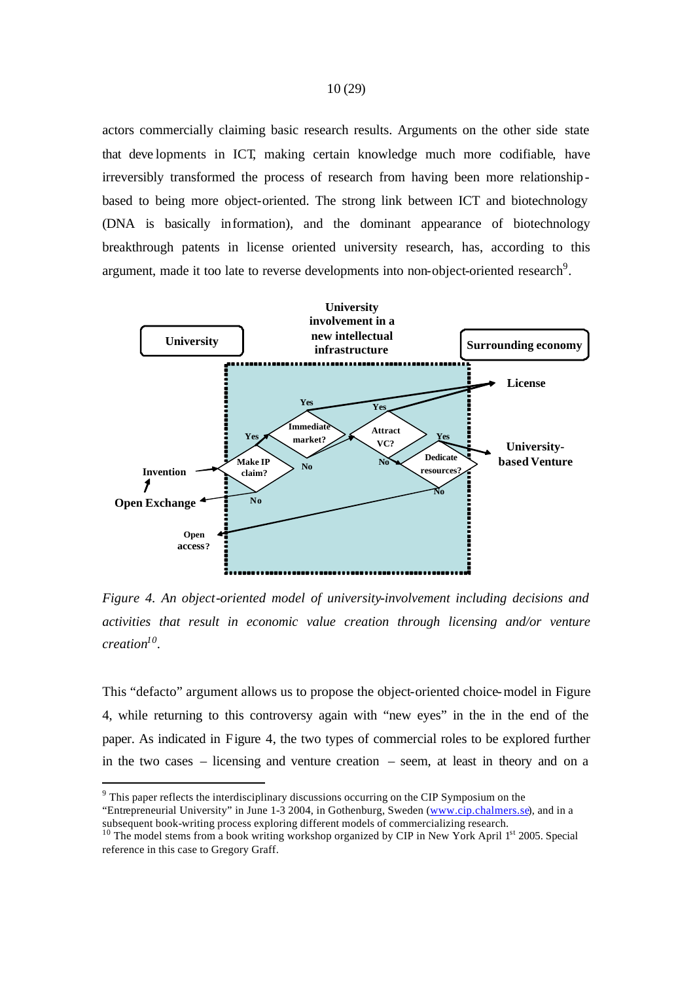actors commercially claiming basic research results. Arguments on the other side state that deve lopments in ICT, making certain knowledge much more codifiable, have irreversibly transformed the process of research from having been more relationshipbased to being more object-oriented. The strong link between ICT and biotechnology (DNA is basically information), and the dominant appearance of biotechnology breakthrough patents in license oriented university research, has, according to this argument, made it too late to reverse developments into non-object-oriented research<sup>9</sup>.



*Figure 4. An object-oriented model of university-involvement including decisions and activities that result in economic value creation through licensing and/or venture creation<sup>10</sup> .*

This "defacto" argument allows us to propose the object-oriented choice-model in Figure 4, while returning to this controversy again with "new eyes" in the in the end of the paper. As indicated in Figure 4, the two types of commercial roles to be explored further in the two cases – licensing and venture creation – seem, at least in theory and on a

 $9<sup>9</sup>$  This paper reflects the interdisciplinary discussions occurring on the CIP Symposium on the

<sup>&</sup>quot;Entrepreneurial University" in June 1-3 2004, in Gothenburg, Sweden (www.cip.chalmers.se), and in a subsequent book-writing process exploring different models of commercializing research.

<sup>&</sup>lt;sup>10</sup> The model stems from a book writing workshop organized by CIP in New York April 1<sup>st</sup> 2005. Special reference in this case to Gregory Graff.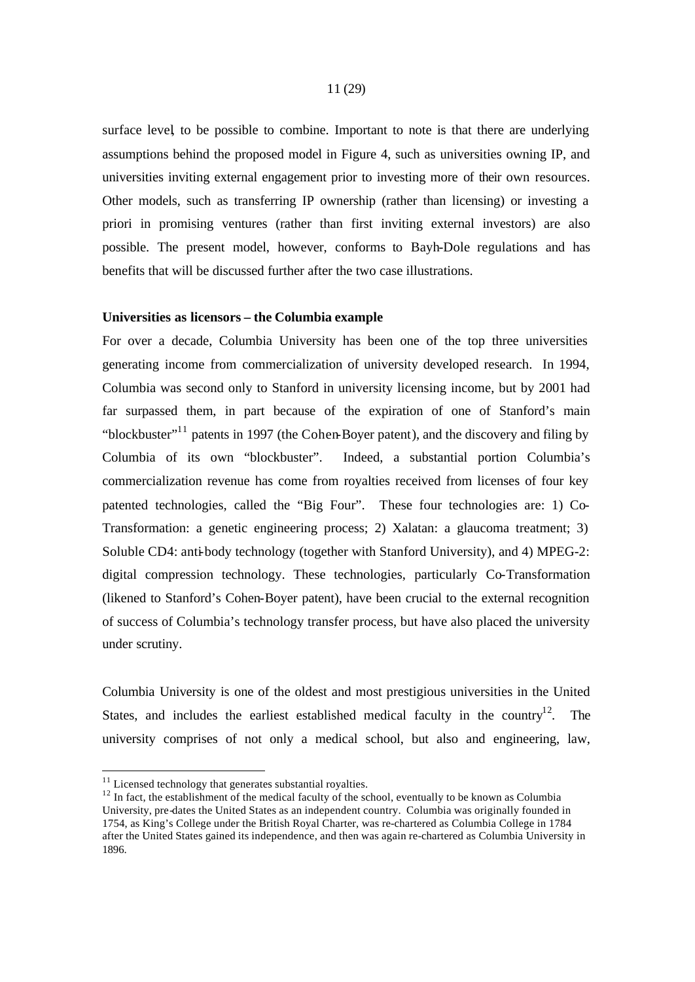surface level, to be possible to combine. Important to note is that there are underlying assumptions behind the proposed model in Figure 4, such as universities owning IP, and universities inviting external engagement prior to investing more of their own resources. Other models, such as transferring IP ownership (rather than licensing) or investing a priori in promising ventures (rather than first inviting external investors) are also possible. The present model, however, conforms to Bayh-Dole regulations and has benefits that will be discussed further after the two case illustrations.

#### **Universities as licensors – the Columbia example**

For over a decade, Columbia University has been one of the top three universities generating income from commercialization of university developed research. In 1994, Columbia was second only to Stanford in university licensing income, but by 2001 had far surpassed them, in part because of the expiration of one of Stanford's main "blockbuster"<sup>11</sup> patents in 1997 (the Cohen-Boyer patent), and the discovery and filing by Columbia of its own "blockbuster". Indeed, a substantial portion Columbia's commercialization revenue has come from royalties received from licenses of four key patented technologies, called the "Big Four". These four technologies are: 1) Co-Transformation: a genetic engineering process; 2) Xalatan: a glaucoma treatment; 3) Soluble CD4: anti-body technology (together with Stanford University), and 4) MPEG-2: digital compression technology. These technologies, particularly Co-Transformation (likened to Stanford's Cohen-Boyer patent), have been crucial to the external recognition of success of Columbia's technology transfer process, but have also placed the university under scrutiny.

Columbia University is one of the oldest and most prestigious universities in the United States, and includes the earliest established medical faculty in the country<sup>12</sup>. The university comprises of not only a medical school, but also and engineering, law,

 $11$  Licensed technology that generates substantial royalties.

<sup>&</sup>lt;sup>12</sup> In fact, the establishment of the medical faculty of the school, eventually to be known as Columbia University, pre-dates the United States as an independent country. Columbia was originally founded in 1754, as King's College under the British Royal Charter, was re-chartered as Columbia College in 1784 after the United States gained its independence, and then was again re-chartered as Columbia University in 1896.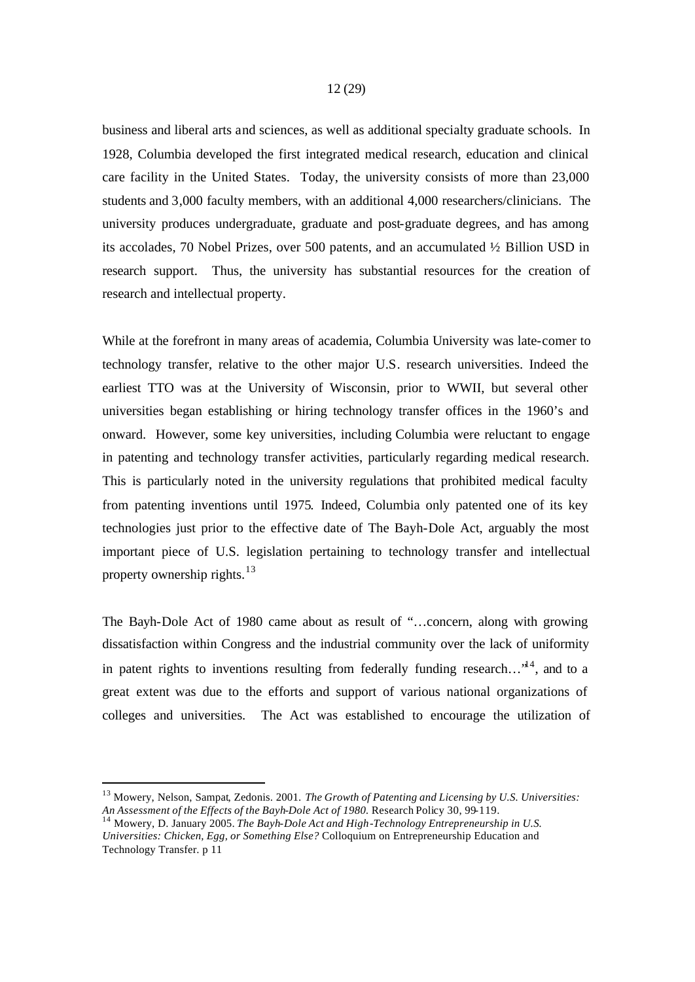business and liberal arts and sciences, as well as additional specialty graduate schools. In 1928, Columbia developed the first integrated medical research, education and clinical care facility in the United States. Today, the university consists of more than 23,000 students and 3,000 faculty members, with an additional 4,000 researchers/clinicians. The university produces undergraduate, graduate and post-graduate degrees, and has among its accolades, 70 Nobel Prizes, over 500 patents, and an accumulated ½ Billion USD in research support. Thus, the university has substantial resources for the creation of research and intellectual property.

While at the forefront in many areas of academia, Columbia University was late-comer to technology transfer, relative to the other major U.S. research universities. Indeed the earliest TTO was at the University of Wisconsin, prior to WWII, but several other universities began establishing or hiring technology transfer offices in the 1960's and onward. However, some key universities, including Columbia were reluctant to engage in patenting and technology transfer activities, particularly regarding medical research. This is particularly noted in the university regulations that prohibited medical faculty from patenting inventions until 1975. Indeed, Columbia only patented one of its key technologies just prior to the effective date of The Bayh-Dole Act, arguably the most important piece of U.S. legislation pertaining to technology transfer and intellectual property ownership rights. $13$ 

The Bayh-Dole Act of 1980 came about as result of "…concern, along with growing dissatisfaction within Congress and the industrial community over the lack of uniformity in patent rights to inventions resulting from federally funding research... $t^{14}$ , and to a great extent was due to the efforts and support of various national organizations of colleges and universities. The Act was established to encourage the utilization of

<sup>13</sup> Mowery, Nelson, Sampat, Zedonis. 2001. *The Growth of Patenting and Licensing by U.S. Universities: An Assessment of the Effects of the Bayh-Dole Act of 1980.* Research Policy 30, 99-119.

<sup>14</sup> Mowery, D. January 2005. *The Bayh-Dole Act and High-Technology Entrepreneurship in U.S. Universities: Chicken, Egg, or Something Else?* Colloquium on Entrepreneurship Education and Technology Transfer. p 11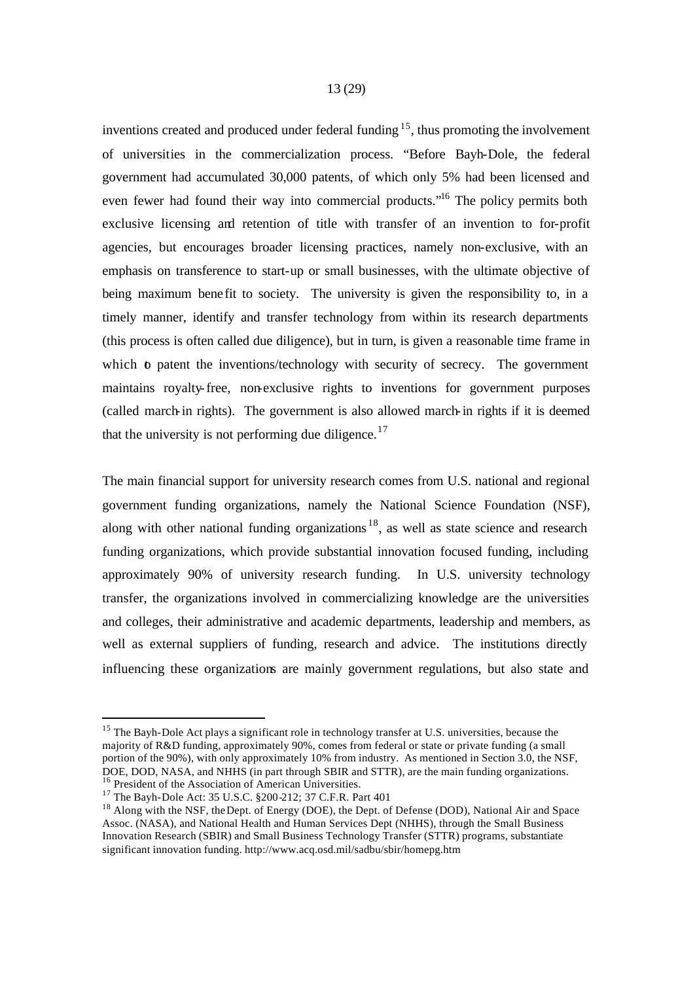inventions created and produced under federal funding  $1<sup>5</sup>$ , thus promoting the involvement of universities in the commercialization process. "Before Bayh-Dole, the federal government had accumulated 30,000 patents, of which only 5% had been licensed and even fewer had found their way into commercial products."<sup>16</sup> The policy permits both exclusive licensing and retention of title with transfer of an invention to for-profit agencies, but encourages broader licensing practices, namely non-exclusive, with an emphasis on transference to start-up or small businesses, with the ultimate objective of being maximum bene fit to society. The university is given the responsibility to, in a timely manner, identify and transfer technology from within its research departments (this process is often called due diligence), but in turn, is given a reasonable time frame in which to patent the inventions/technology with security of secrecy. The government maintains royalty-free, non-exclusive rights to inventions for government purposes (called march-in rights). The government is also allowed march-in rights if it is deemed that the university is not performing due diligence.<sup>17</sup>

The main financial support for university research comes from U.S. national and regional government funding organizations, namely the National Science Foundation (NSF), along with other national funding organizations  $18$ , as well as state science and research funding organizations, which provide substantial innovation focused funding, including approximately 90% of university research funding. In U.S. university technology transfer, the organizations involved in commercializing knowledge are the universities and colleges, their administrative and academic departments, leadership and members, as well as external suppliers of funding, research and advice. The institutions directly influencing these organizations are mainly government regulations, but also state and

<sup>&</sup>lt;sup>15</sup> The Bayh-Dole Act plays a significant role in technology transfer at U.S. universities, because the majority of R&D funding, approximately 90%, comes from federal or state or private funding (a small portion of the 90%), with only approximately 10% from industry. As mentioned in Section 3.0, the NSF, DOE, DOD, NASA, and NHHS (in part through SBIR and STTR), are the main funding organizations. <sup>16</sup> President of the Association of American Universities.

<sup>&</sup>lt;sup>17</sup> The Bayh-Dole Act: 35 U.S.C. §200-212; 37 C.F.R. Part 401

<sup>&</sup>lt;sup>18</sup> Along with the NSF, the Dept. of Energy (DOE), the Dept. of Defense (DOD), National Air and Space Assoc. (NASA), and National Health and Human Services Dept (NHHS), through the Small Business Innovation Research (SBIR) and Small Business Technology Transfer (STTR) programs, substantiate significant innovation funding. http://www.acq.osd.mil/sadbu/sbir/homepg.htm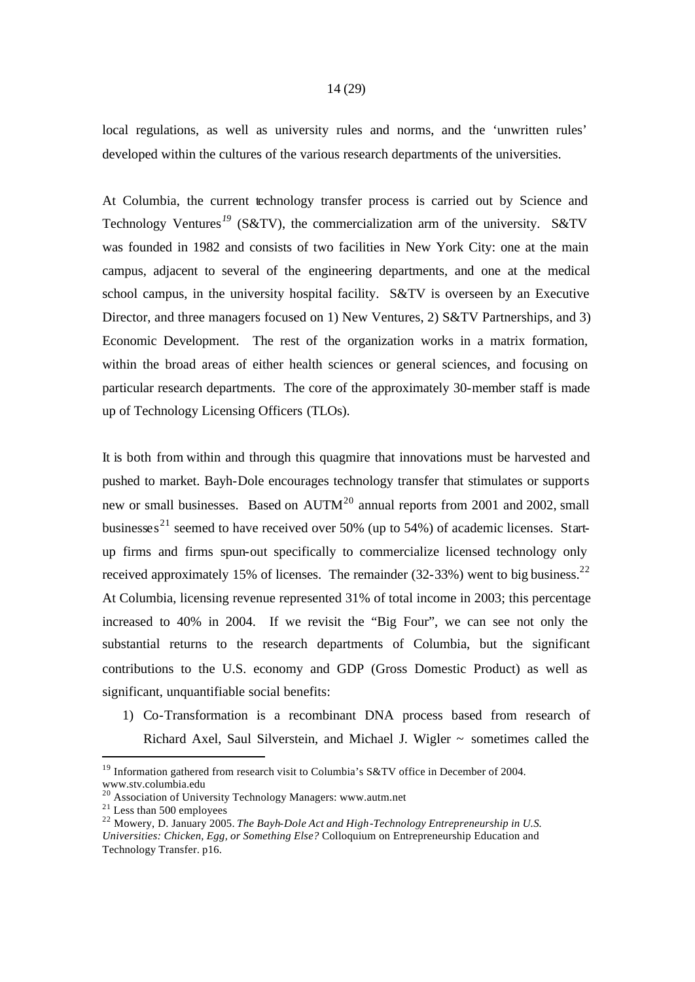local regulations, as well as university rules and norms, and the 'unwritten rules' developed within the cultures of the various research departments of the universities.

At Columbia, the current technology transfer process is carried out by Science and Technology Ventures*<sup>19</sup>* (S&TV), the commercialization arm of the university. S&TV was founded in 1982 and consists of two facilities in New York City: one at the main campus, adjacent to several of the engineering departments, and one at the medical school campus, in the university hospital facility. S&TV is overseen by an Executive Director, and three managers focused on 1) New Ventures, 2) S&TV Partnerships, and 3) Economic Development. The rest of the organization works in a matrix formation, within the broad areas of either health sciences or general sciences, and focusing on particular research departments. The core of the approximately 30-member staff is made up of Technology Licensing Officers (TLOs).

It is both from within and through this quagmire that innovations must be harvested and pushed to market. Bayh-Dole encourages technology transfer that stimulates or supports new or small businesses. Based on  $\text{AUTM}^{20}$  annual reports from 2001 and 2002, small businesses<sup>21</sup> seemed to have received over 50% (up to 54%) of academic licenses. Startup firms and firms spun-out specifically to commercialize licensed technology only received approximately 15% of licenses. The remainder  $(32-33%)$  went to big business.<sup>22</sup> At Columbia, licensing revenue represented 31% of total income in 2003; this percentage increased to 40% in 2004. If we revisit the "Big Four", we can see not only the substantial returns to the research departments of Columbia, but the significant contributions to the U.S. economy and GDP (Gross Domestic Product) as well as significant, unquantifiable social benefits:

1) Co-Transformation is a recombinant DNA process based from research of Richard Axel, Saul Silverstein, and Michael J. Wigler ~ sometimes called the

<sup>&</sup>lt;sup>19</sup> Information gathered from research visit to Columbia's S&TV office in December of 2004. www.stv.columbia.edu

<sup>20</sup> Association of University Technology Managers: www.autm.net

 $21$  Less than 500 employees

<sup>22</sup> Mowery, D. January 2005. *The Bayh-Dole Act and High-Technology Entrepreneurship in U.S. Universities: Chicken, Egg, or Something Else?* Colloquium on Entrepreneurship Education and Technology Transfer. p16.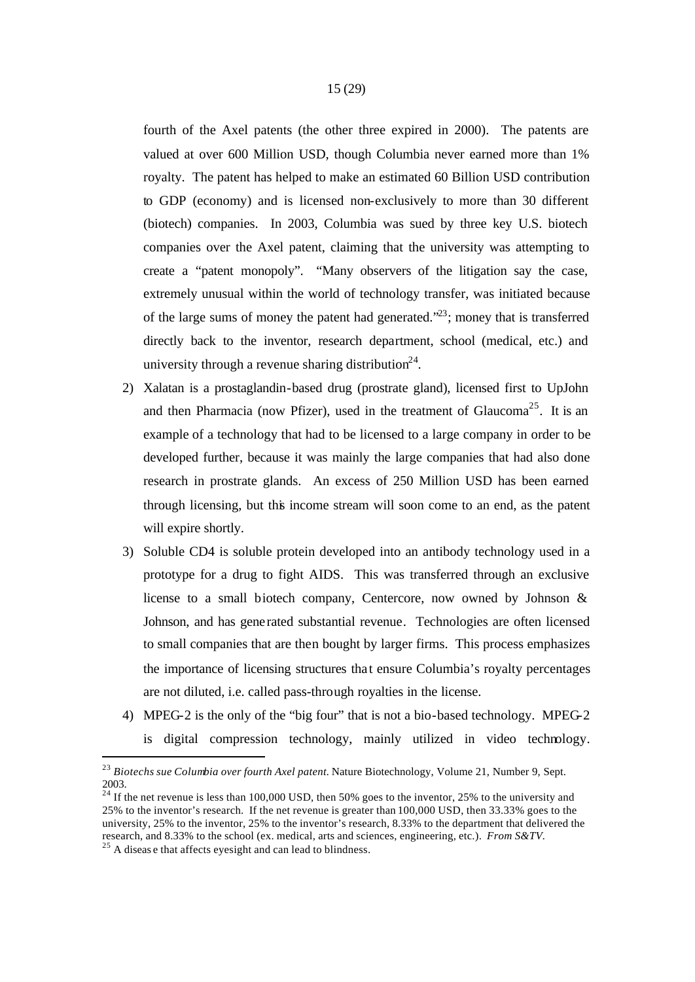fourth of the Axel patents (the other three expired in 2000). The patents are valued at over 600 Million USD, though Columbia never earned more than 1% royalty. The patent has helped to make an estimated 60 Billion USD contribution to GDP (economy) and is licensed non-exclusively to more than 30 different (biotech) companies. In 2003, Columbia was sued by three key U.S. biotech companies over the Axel patent, claiming that the university was attempting to create a "patent monopoly". "Many observers of the litigation say the case, extremely unusual within the world of technology transfer, was initiated because of the large sums of money the patent had generated. $23$ ; money that is transferred directly back to the inventor, research department, school (medical, etc.) and university through a revenue sharing distribution<sup>24</sup>.

- 2) Xalatan is a prostaglandin-based drug (prostrate gland), licensed first to UpJohn and then Pharmacia (now Pfizer), used in the treatment of Glaucoma<sup>25</sup>. It is an example of a technology that had to be licensed to a large company in order to be developed further, because it was mainly the large companies that had also done research in prostrate glands. An excess of 250 Million USD has been earned through licensing, but this income stream will soon come to an end, as the patent will expire shortly.
- 3) Soluble CD4 is soluble protein developed into an antibody technology used in a prototype for a drug to fight AIDS. This was transferred through an exclusive license to a small biotech company, Centercore, now owned by Johnson & Johnson, and has gene rated substantial revenue. Technologies are often licensed to small companies that are then bought by larger firms. This process emphasizes the importance of licensing structures that ensure Columbia's royalty percentages are not diluted, i.e. called pass-through royalties in the license.
- 4) MPEG-2 is the only of the "big four" that is not a bio-based technology. MPEG-2
	- is digital compression technology, mainly utilized in video technology.

<sup>23</sup> *Biotechs sue Columbia over fourth Axel patent.* Nature Biotechnology, Volume 21, Number 9, Sept. 2003.

 $^{24}$  If the net revenue is less than 100,000 USD, then 50% goes to the inventor, 25% to the university and 25% to the inventor's research. If the net revenue is greater than 100,000 USD, then 33.33% goes to the university, 25% to the inventor, 25% to the inventor's research, 8.33% to the department that delivered the research, and 8.33% to the school (ex. medical, arts and sciences, engineering, etc.). *From S&TV.* 

 $25$  A diseas e that affects eyesight and can lead to blindness.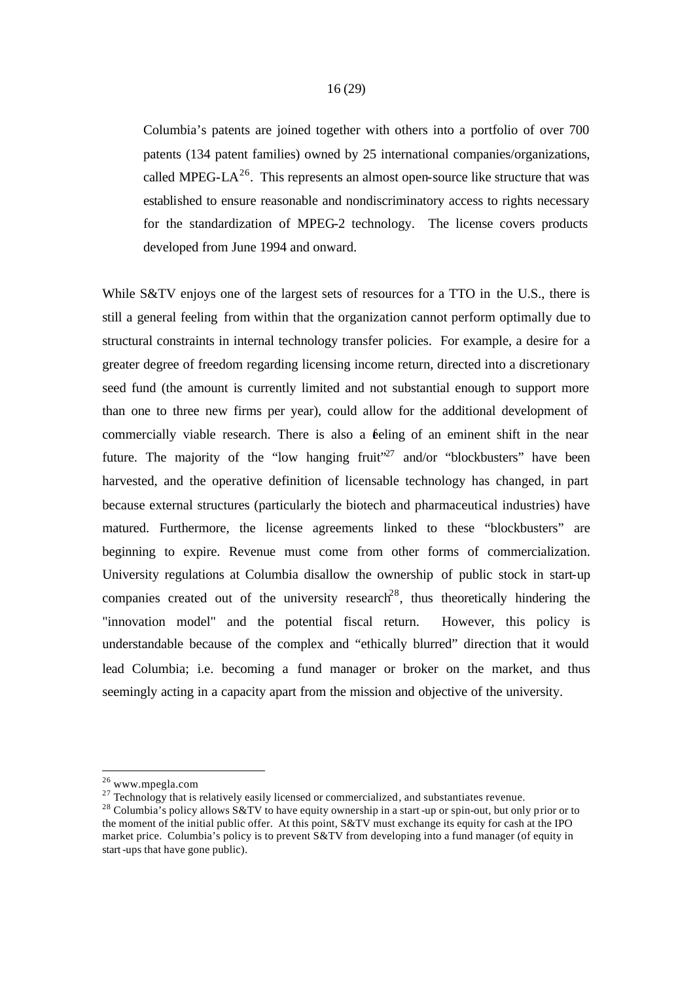Columbia's patents are joined together with others into a portfolio of over 700 patents (134 patent families) owned by 25 international companies/organizations, called MPEG-LA<sup>26</sup>. This represents an almost open-source like structure that was established to ensure reasonable and nondiscriminatory access to rights necessary for the standardization of MPEG-2 technology. The license covers products developed from June 1994 and onward.

While S&TV enjoys one of the largest sets of resources for a TTO in the U.S., there is still a general feeling from within that the organization cannot perform optimally due to structural constraints in internal technology transfer policies. For example, a desire for a greater degree of freedom regarding licensing income return, directed into a discretionary seed fund (the amount is currently limited and not substantial enough to support more than one to three new firms per year), could allow for the additional development of commercially viable research. There is also a feeling of an eminent shift in the near future. The majority of the "low hanging fruit"<sup>27</sup> and/or "blockbusters" have been harvested, and the operative definition of licensable technology has changed, in part because external structures (particularly the biotech and pharmaceutical industries) have matured. Furthermore, the license agreements linked to these "blockbusters" are beginning to expire. Revenue must come from other forms of commercialization. University regulations at Columbia disallow the ownership of public stock in start-up companies created out of the university research<sup>28</sup>, thus theoretically hindering the "innovation model" and the potential fiscal return. However, this policy is understandable because of the complex and "ethically blurred" direction that it would lead Columbia; i.e. becoming a fund manager or broker on the market, and thus seemingly acting in a capacity apart from the mission and objective of the university.

<sup>26</sup> www.mpegla.com

 $27$  Technology that is relatively easily licensed or commercialized, and substantiates revenue.

<sup>&</sup>lt;sup>28</sup> Columbia's policy allows S&TV to have equity ownership in a start-up or spin-out, but only prior or to the moment of the initial public offer. At this point, S&TV must exchange its equity for cash at the IPO market price. Columbia's policy is to prevent S&TV from developing into a fund manager (of equity in start-ups that have gone public).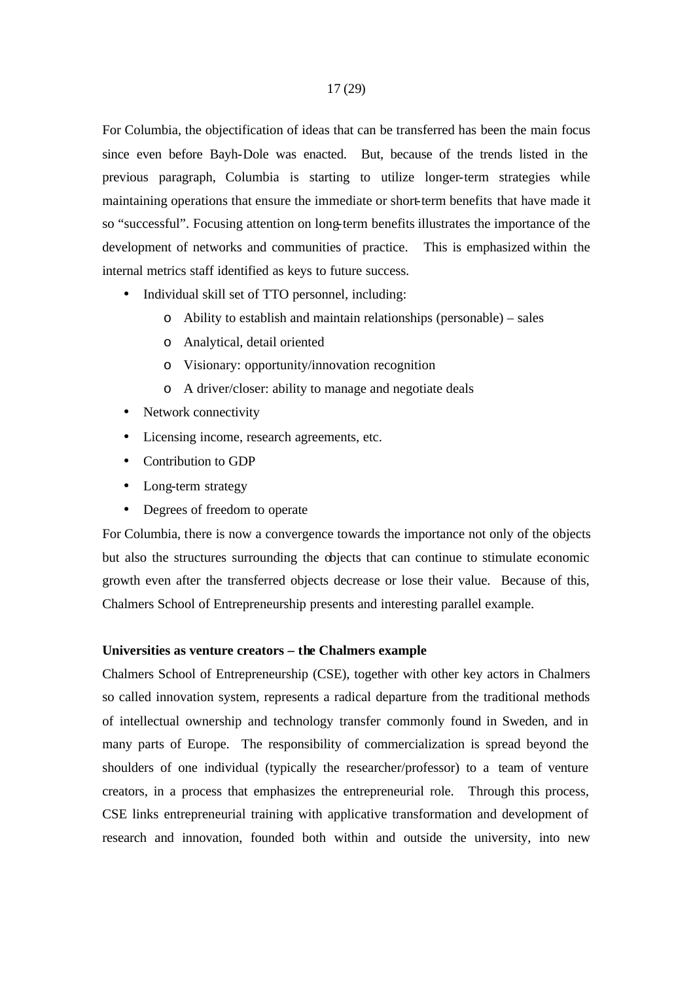For Columbia, the objectification of ideas that can be transferred has been the main focus since even before Bayh-Dole was enacted. But, because of the trends listed in the previous paragraph, Columbia is starting to utilize longer-term strategies while maintaining operations that ensure the immediate or short-term benefits that have made it so "successful". Focusing attention on long-term benefits illustrates the importance of the development of networks and communities of practice. This is emphasized within the internal metrics staff identified as keys to future success.

- Individual skill set of TTO personnel, including:
	- o Ability to establish and maintain relationships (personable) sales
	- o Analytical, detail oriented
	- o Visionary: opportunity/innovation recognition
	- o A driver/closer: ability to manage and negotiate deals
- Network connectivity
- Licensing income, research agreements, etc.
- Contribution to GDP
- Long-term strategy
- Degrees of freedom to operate

For Columbia, there is now a convergence towards the importance not only of the objects but also the structures surrounding the objects that can continue to stimulate economic growth even after the transferred objects decrease or lose their value. Because of this, Chalmers School of Entrepreneurship presents and interesting parallel example.

#### **Universities as venture creators – the Chalmers example**

Chalmers School of Entrepreneurship (CSE), together with other key actors in Chalmers so called innovation system, represents a radical departure from the traditional methods of intellectual ownership and technology transfer commonly found in Sweden, and in many parts of Europe. The responsibility of commercialization is spread beyond the shoulders of one individual (typically the researcher/professor) to a team of venture creators, in a process that emphasizes the entrepreneurial role. Through this process, CSE links entrepreneurial training with applicative transformation and development of research and innovation, founded both within and outside the university, into new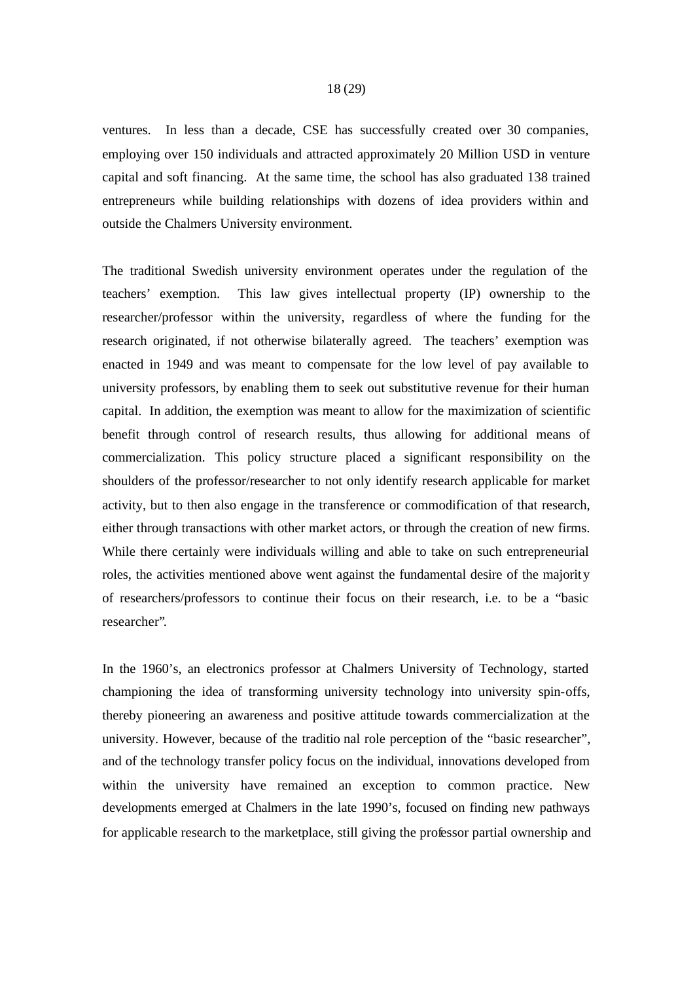ventures. In less than a decade, CSE has successfully created over 30 companies, employing over 150 individuals and attracted approximately 20 Million USD in venture capital and soft financing. At the same time, the school has also graduated 138 trained entrepreneurs while building relationships with dozens of idea providers within and outside the Chalmers University environment.

The traditional Swedish university environment operates under the regulation of the teachers' exemption. This law gives intellectual property (IP) ownership to the researcher/professor within the university, regardless of where the funding for the research originated, if not otherwise bilaterally agreed. The teachers' exemption was enacted in 1949 and was meant to compensate for the low level of pay available to university professors, by enabling them to seek out substitutive revenue for their human capital. In addition, the exemption was meant to allow for the maximization of scientific benefit through control of research results, thus allowing for additional means of commercialization. This policy structure placed a significant responsibility on the shoulders of the professor/researcher to not only identify research applicable for market activity, but to then also engage in the transference or commodification of that research, either through transactions with other market actors, or through the creation of new firms. While there certainly were individuals willing and able to take on such entrepreneurial roles, the activities mentioned above went against the fundamental desire of the majority of researchers/professors to continue their focus on their research, i.e. to be a "basic researcher".

In the 1960's, an electronics professor at Chalmers University of Technology, started championing the idea of transforming university technology into university spin-offs, thereby pioneering an awareness and positive attitude towards commercialization at the university. However, because of the traditio nal role perception of the "basic researcher", and of the technology transfer policy focus on the individual, innovations developed from within the university have remained an exception to common practice. New developments emerged at Chalmers in the late 1990's, focused on finding new pathways for applicable research to the marketplace, still giving the professor partial ownership and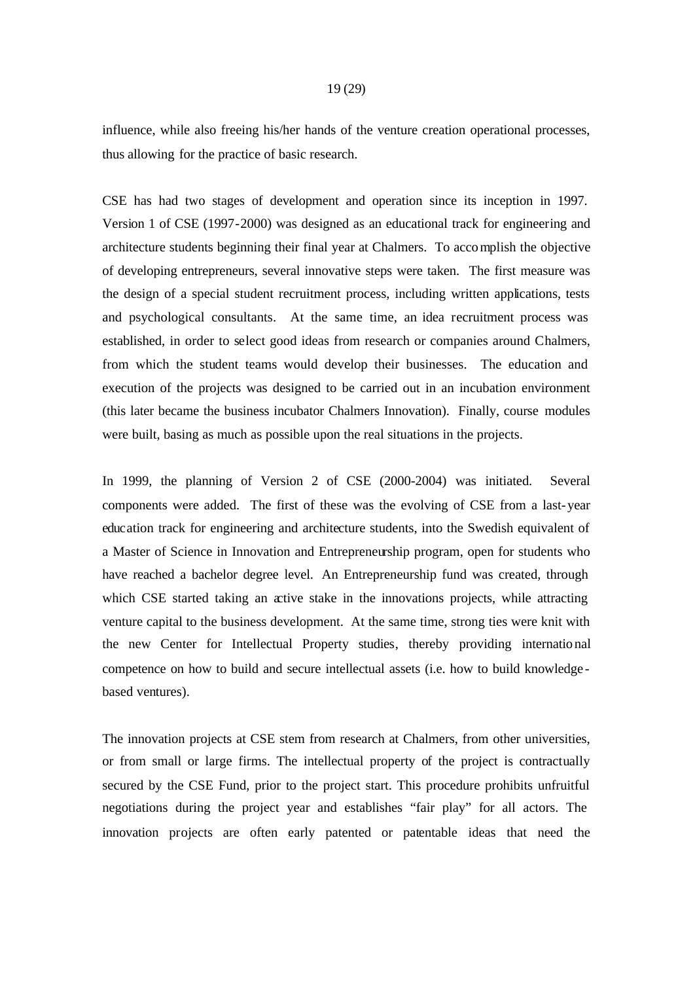influence, while also freeing his/her hands of the venture creation operational processes, thus allowing for the practice of basic research.

CSE has had two stages of development and operation since its inception in 1997. Version 1 of CSE (1997-2000) was designed as an educational track for engineering and architecture students beginning their final year at Chalmers. To accomplish the objective of developing entrepreneurs, several innovative steps were taken. The first measure was the design of a special student recruitment process, including written applications, tests and psychological consultants. At the same time, an idea recruitment process was established, in order to select good ideas from research or companies around Chalmers, from which the student teams would develop their businesses. The education and execution of the projects was designed to be carried out in an incubation environment (this later became the business incubator Chalmers Innovation). Finally, course modules were built, basing as much as possible upon the real situations in the projects.

In 1999, the planning of Version 2 of CSE (2000-2004) was initiated. Several components were added. The first of these was the evolving of CSE from a last-year education track for engineering and architecture students, into the Swedish equivalent of a Master of Science in Innovation and Entrepreneurship program, open for students who have reached a bachelor degree level. An Entrepreneurship fund was created, through which CSE started taking an active stake in the innovations projects, while attracting venture capital to the business development. At the same time, strong ties were knit with the new Center for Intellectual Property studies, thereby providing international competence on how to build and secure intellectual assets (i.e. how to build knowledge based ventures).

The innovation projects at CSE stem from research at Chalmers, from other universities, or from small or large firms. The intellectual property of the project is contractually secured by the CSE Fund, prior to the project start. This procedure prohibits unfruitful negotiations during the project year and establishes "fair play" for all actors. The innovation projects are often early patented or patentable ideas that need the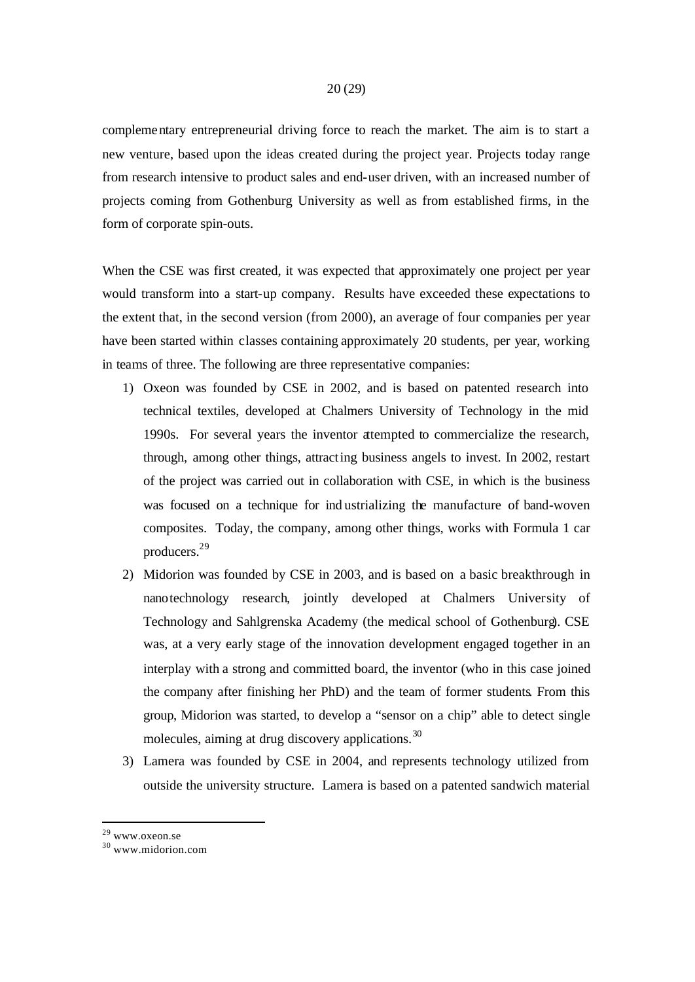complementary entrepreneurial driving force to reach the market. The aim is to start a new venture, based upon the ideas created during the project year. Projects today range from research intensive to product sales and end-user driven, with an increased number of projects coming from Gothenburg University as well as from established firms, in the form of corporate spin-outs.

When the CSE was first created, it was expected that approximately one project per year would transform into a start-up company. Results have exceeded these expectations to the extent that, in the second version (from 2000), an average of four companies per year have been started within classes containing approximately 20 students, per year, working in teams of three. The following are three representative companies:

- 1) Oxeon was founded by CSE in 2002, and is based on patented research into technical textiles, developed at Chalmers University of Technology in the mid 1990s. For several years the inventor attempted to commercialize the research, through, among other things, attracting business angels to invest. In 2002, restart of the project was carried out in collaboration with CSE, in which is the business was focused on a technique for ind ustrializing the manufacture of band-woven composites. Today, the company, among other things, works with Formula 1 car producers.<sup>29</sup>
- 2) Midorion was founded by CSE in 2003, and is based on a basic breakthrough in nanotechnology research, jointly developed at Chalmers University of Technology and Sahlgrenska Academy (the medical school of Gothenburg). CSE was, at a very early stage of the innovation development engaged together in an interplay with a strong and committed board, the inventor (who in this case joined the company after finishing her PhD) and the team of former students. From this group, Midorion was started, to develop a "sensor on a chip" able to detect single molecules, aiming at drug discovery applications.<sup>30</sup>
- 3) Lamera was founded by CSE in 2004, and represents technology utilized from outside the university structure. Lamera is based on a patented sandwich material

<sup>&</sup>lt;sup>29</sup> www.oxeon.se

<sup>30</sup> www.midorion.com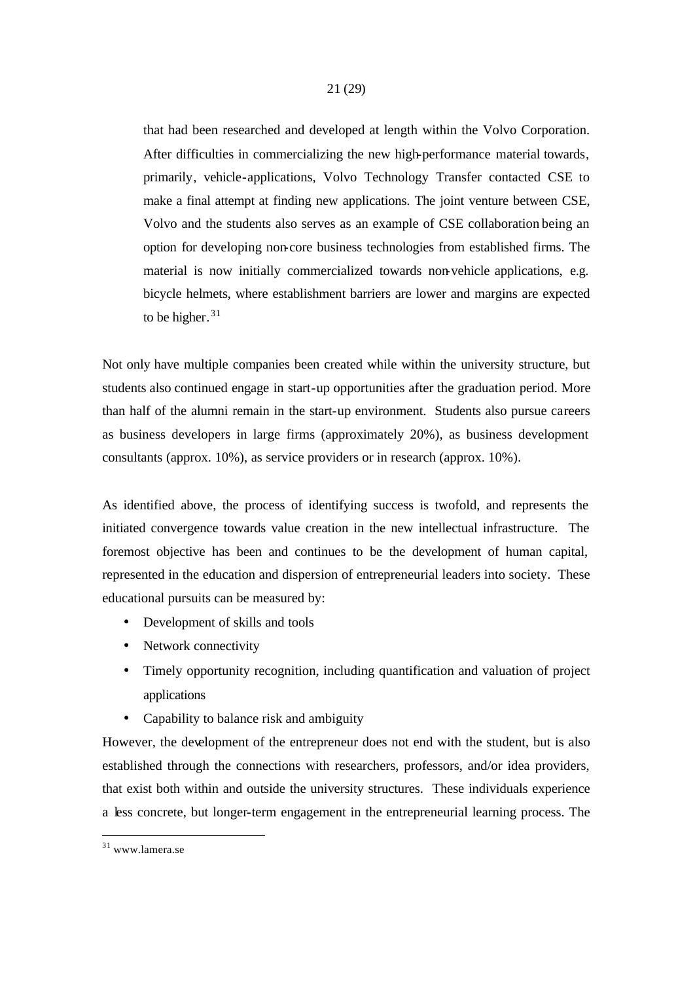that had been researched and developed at length within the Volvo Corporation. After difficulties in commercializing the new high-performance material towards, primarily, vehicle-applications, Volvo Technology Transfer contacted CSE to make a final attempt at finding new applications. The joint venture between CSE, Volvo and the students also serves as an example of CSE collaboration being an option for developing non-core business technologies from established firms. The material is now initially commercialized towards non-vehicle applications, e.g. bicycle helmets, where establishment barriers are lower and margins are expected to be higher. $31$ 

Not only have multiple companies been created while within the university structure, but students also continued engage in start-up opportunities after the graduation period. More than half of the alumni remain in the start-up environment. Students also pursue careers as business developers in large firms (approximately 20%), as business development consultants (approx. 10%), as service providers or in research (approx. 10%).

As identified above, the process of identifying success is twofold, and represents the initiated convergence towards value creation in the new intellectual infrastructure. The foremost objective has been and continues to be the development of human capital, represented in the education and dispersion of entrepreneurial leaders into society. These educational pursuits can be measured by:

- Development of skills and tools
- Network connectivity
- Timely opportunity recognition, including quantification and valuation of project applications
- Capability to balance risk and ambiguity

However, the development of the entrepreneur does not end with the student, but is also established through the connections with researchers, professors, and/or idea providers, that exist both within and outside the university structures. These individuals experience a less concrete, but longer-term engagement in the entrepreneurial learning process. The

l

<sup>31</sup> www.lamera.se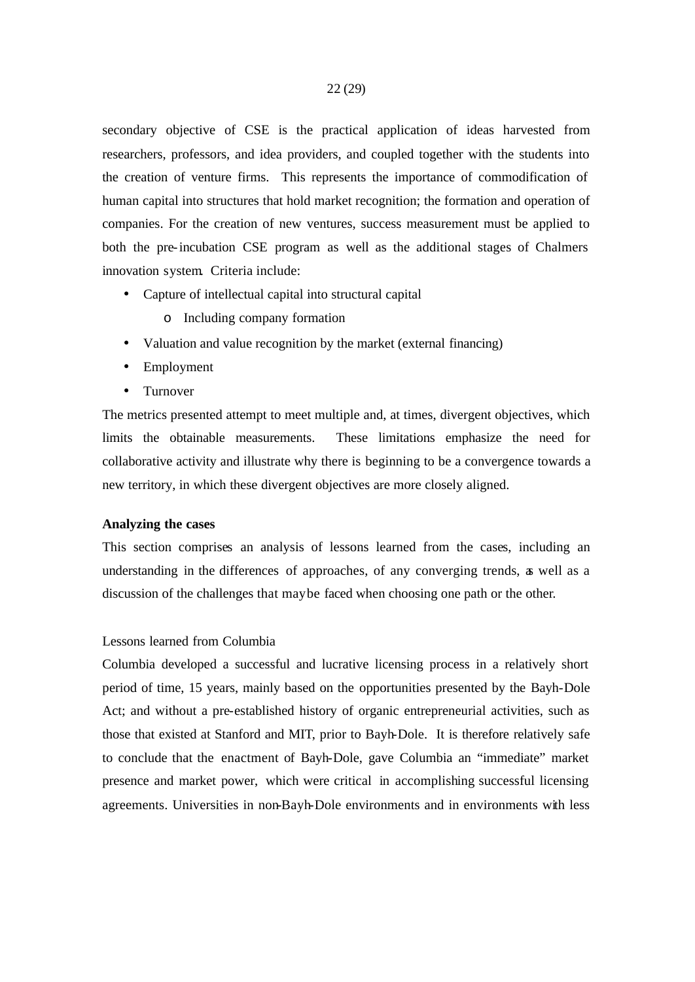secondary objective of CSE is the practical application of ideas harvested from researchers, professors, and idea providers, and coupled together with the students into the creation of venture firms. This represents the importance of commodification of human capital into structures that hold market recognition; the formation and operation of companies. For the creation of new ventures, success measurement must be applied to both the pre-incubation CSE program as well as the additional stages of Chalmers innovation system. Criteria include:

- Capture of intellectual capital into structural capital
	- o Including company formation
- Valuation and value recognition by the market (external financing)
- Employment
- Turnover

The metrics presented attempt to meet multiple and, at times, divergent objectives, which limits the obtainable measurements. These limitations emphasize the need for collaborative activity and illustrate why there is beginning to be a convergence towards a new territory, in which these divergent objectives are more closely aligned.

#### **Analyzing the cases**

This section comprises an analysis of lessons learned from the cases, including an understanding in the differences of approaches, of any converging trends, as well as a discussion of the challenges that may be faced when choosing one path or the other.

#### Lessons learned from Columbia

Columbia developed a successful and lucrative licensing process in a relatively short period of time, 15 years, mainly based on the opportunities presented by the Bayh-Dole Act; and without a pre-established history of organic entrepreneurial activities, such as those that existed at Stanford and MIT, prior to Bayh-Dole. It is therefore relatively safe to conclude that the enactment of Bayh-Dole, gave Columbia an "immediate" market presence and market power, which were critical in accomplishing successful licensing agreements. Universities in non-Bayh-Dole environments and in environments with less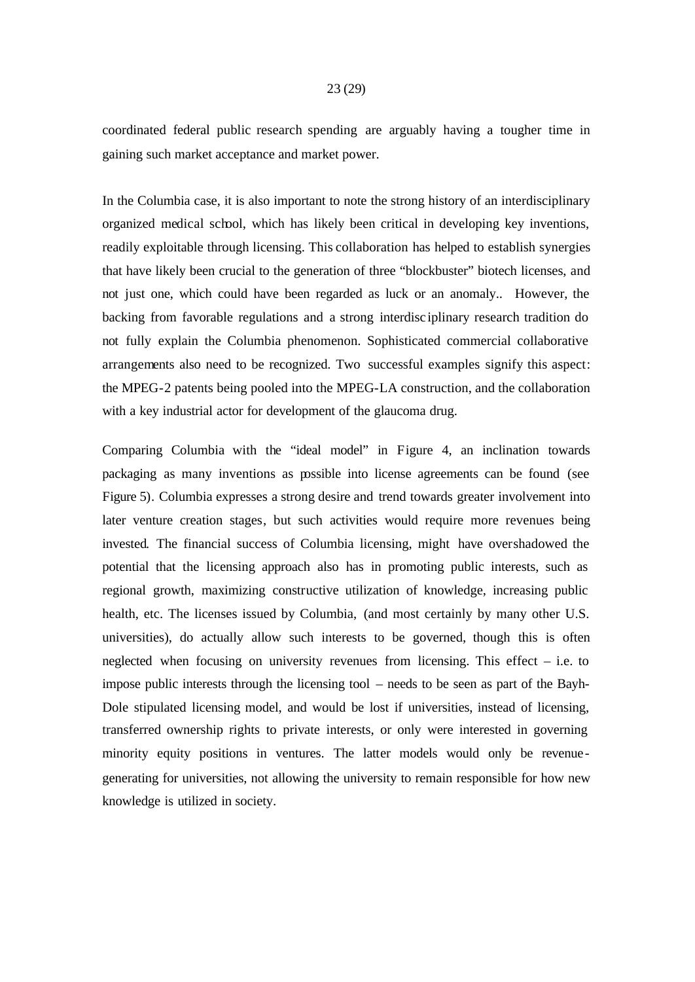### coordinated federal public research spending are arguably having a tougher time in gaining such market acceptance and market power.

In the Columbia case, it is also important to note the strong history of an interdisciplinary organized medical school, which has likely been critical in developing key inventions, readily exploitable through licensing. This collaboration has helped to establish synergies that have likely been crucial to the generation of three "blockbuster" biotech licenses, and not just one, which could have been regarded as luck or an anomaly.. However, the backing from favorable regulations and a strong interdisc iplinary research tradition do not fully explain the Columbia phenomenon. Sophisticated commercial collaborative arrangements also need to be recognized. Two successful examples signify this aspect: the MPEG-2 patents being pooled into the MPEG-LA construction, and the collaboration with a key industrial actor for development of the glaucoma drug.

Comparing Columbia with the "ideal model" in Figure 4, an inclination towards packaging as many inventions as possible into license agreements can be found (see Figure 5). Columbia expresses a strong desire and trend towards greater involvement into later venture creation stages, but such activities would require more revenues being invested. The financial success of Columbia licensing, might have overshadowed the potential that the licensing approach also has in promoting public interests, such as regional growth, maximizing constructive utilization of knowledge, increasing public health, etc. The licenses issued by Columbia, (and most certainly by many other U.S. universities), do actually allow such interests to be governed, though this is often neglected when focusing on university revenues from licensing. This effect – i.e. to impose public interests through the licensing tool – needs to be seen as part of the Bayh-Dole stipulated licensing model, and would be lost if universities, instead of licensing, transferred ownership rights to private interests, or only were interested in governing minority equity positions in ventures. The latter models would only be revenue generating for universities, not allowing the university to remain responsible for how new knowledge is utilized in society.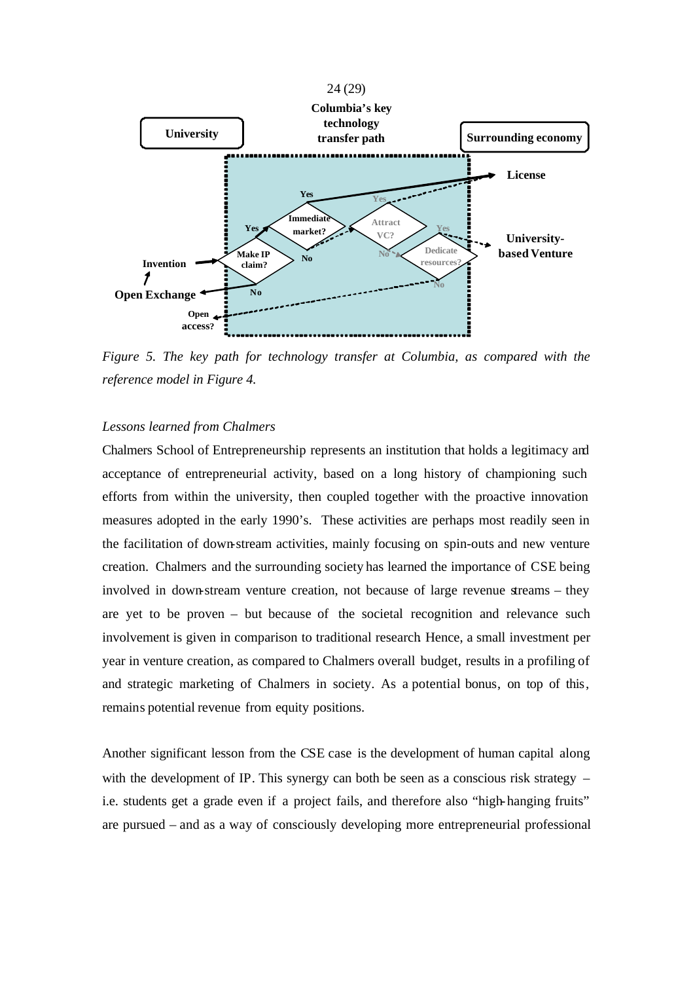



*Figure 5. The key path for technology transfer at Columbia, as compared with the reference model in Figure 4.*

#### *Lessons learned from Chalmers*

Chalmers School of Entrepreneurship represents an institution that holds a legitimacy and acceptance of entrepreneurial activity, based on a long history of championing such efforts from within the university, then coupled together with the proactive innovation measures adopted in the early 1990's. These activities are perhaps most readily seen in the facilitation of down-stream activities, mainly focusing on spin-outs and new venture creation. Chalmers and the surrounding society has learned the importance of CSE being involved in down-stream venture creation, not because of large revenue streams – they are yet to be proven – but because of the societal recognition and relevance such involvement is given in comparison to traditional research. Hence, a small investment per year in venture creation, as compared to Chalmers overall budget, results in a profiling of and strategic marketing of Chalmers in society. As a potential bonus, on top of this, remains potential revenue from equity positions.

Another significant lesson from the CSE case is the development of human capital along with the development of IP. This synergy can both be seen as a conscious risk strategy  $$ i.e. students get a grade even if a project fails, and therefore also "high-hanging fruits" are pursued – and as a way of consciously developing more entrepreneurial professional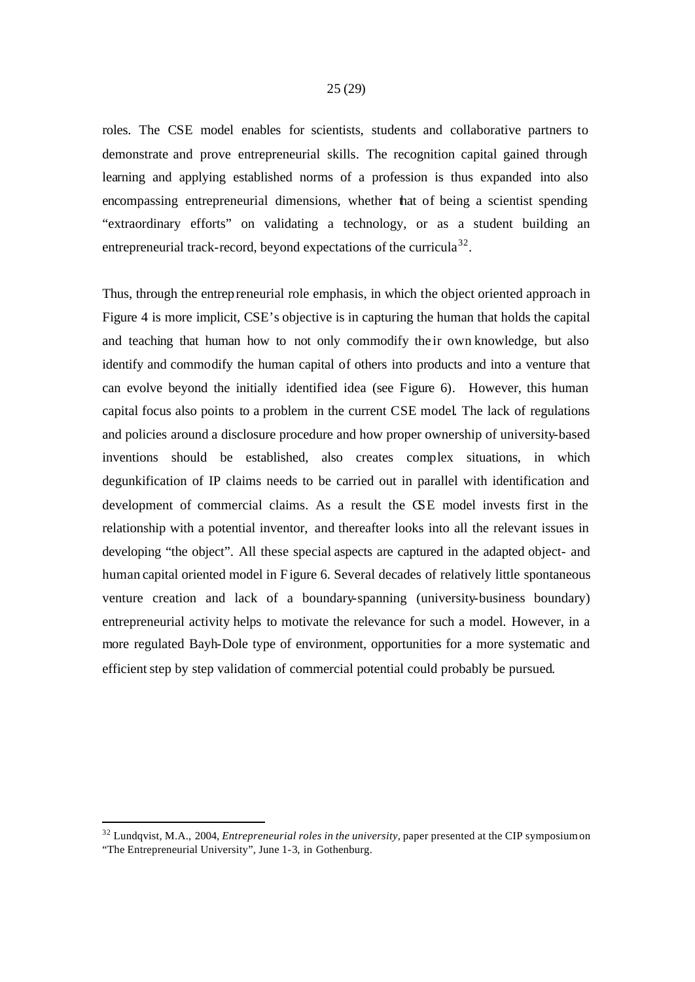roles. The CSE model enables for scientists, students and collaborative partners to demonstrate and prove entrepreneurial skills. The recognition capital gained through learning and applying established norms of a profession is thus expanded into also encompassing entrepreneurial dimensions, whether that of being a scientist spending "extraordinary efforts" on validating a technology, or as a student building an entrepreneurial track-record, beyond expectations of the curricula<sup>32</sup>.

Thus, through the entrepreneurial role emphasis, in which the object oriented approach in Figure 4 is more implicit, CSE's objective is in capturing the human that holds the capital and teaching that human how to not only commodify the ir own knowledge, but also identify and commodify the human capital of others into products and into a venture that can evolve beyond the initially identified idea (see Figure 6). However, this human capital focus also points to a problem in the current CSE model. The lack of regulations and policies around a disclosure procedure and how proper ownership of university-based inventions should be established, also creates complex situations, in which degunkification of IP claims needs to be carried out in parallel with identification and development of commercial claims. As a result the CSE model invests first in the relationship with a potential inventor, and thereafter looks into all the relevant issues in developing "the object". All these special aspects are captured in the adapted object- and human capital oriented model in Figure 6. Several decades of relatively little spontaneous venture creation and lack of a boundary-spanning (university-business boundary) entrepreneurial activity helps to motivate the relevance for such a model. However, in a more regulated Bayh-Dole type of environment, opportunities for a more systematic and efficient step by step validation of commercial potential could probably be pursued.

<sup>32</sup> Lundqvist, M.A., 2004, *Entrepreneurial roles in the university*, paper presented at the CIP symposium on "The Entrepreneurial University", June 1-3, in Gothenburg.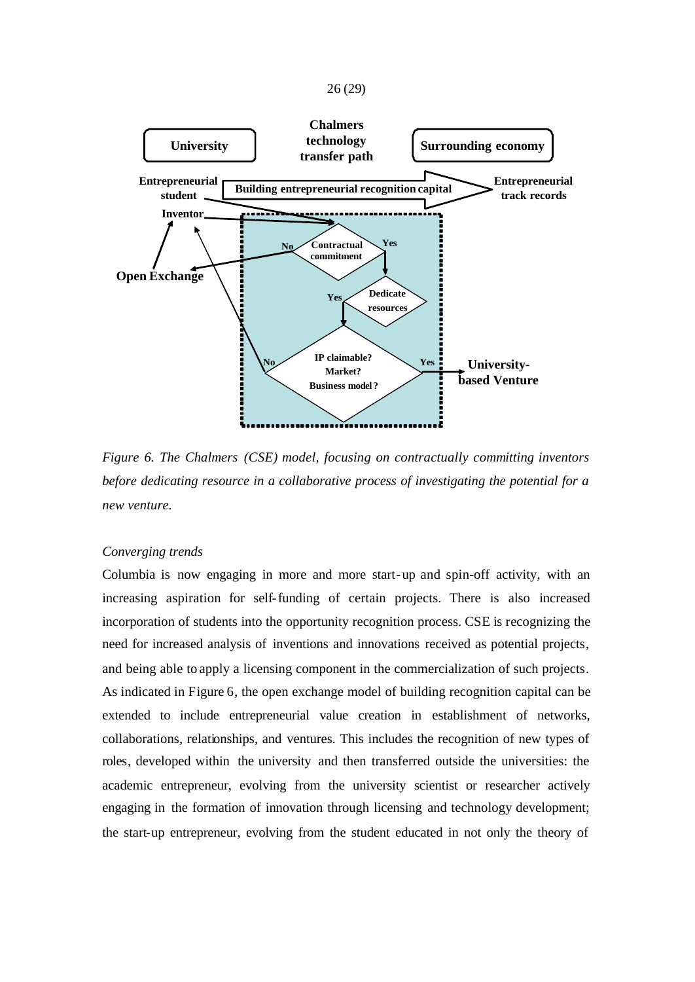



*Figure 6. The Chalmers (CSE) model, focusing on contractually committing inventors before dedicating resource in a collaborative process of investigating the potential for a new venture.*

#### *Converging trends*

Columbia is now engaging in more and more start-up and spin-off activity, with an increasing aspiration for self-funding of certain projects. There is also increased incorporation of students into the opportunity recognition process. CSE is recognizing the need for increased analysis of inventions and innovations received as potential projects, and being able to apply a licensing component in the commercialization of such projects. As indicated in Figure 6, the open exchange model of building recognition capital can be extended to include entrepreneurial value creation in establishment of networks, collaborations, relationships, and ventures. This includes the recognition of new types of roles, developed within the university and then transferred outside the universities: the academic entrepreneur, evolving from the university scientist or researcher actively engaging in the formation of innovation through licensing and technology development; the start-up entrepreneur, evolving from the student educated in not only the theory of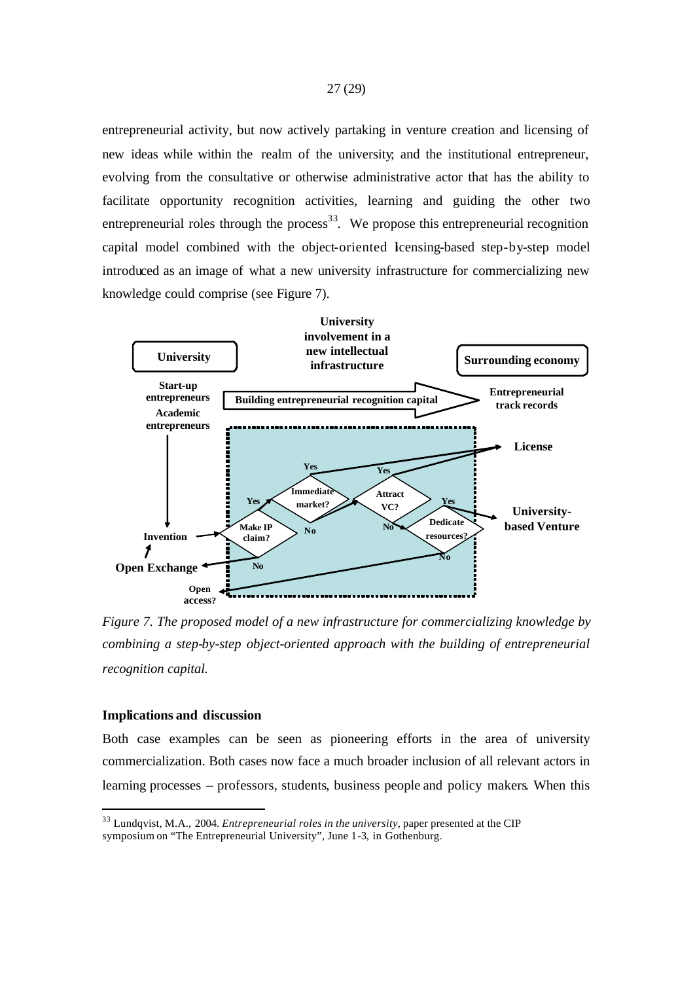entrepreneurial activity, but now actively partaking in venture creation and licensing of new ideas while within the realm of the university; and the institutional entrepreneur, evolving from the consultative or otherwise administrative actor that has the ability to facilitate opportunity recognition activities, learning and guiding the other two entrepreneurial roles through the process<sup>33</sup>. We propose this entrepreneurial recognition capital model combined with the object-oriented licensing-based step-by-step model introduced as an image of what a new university infrastructure for commercializing new knowledge could comprise (see Figure 7).



*Figure 7. The proposed model of a new infrastructure for commercializing knowledge by combining a step-by-step object-oriented approach with the building of entrepreneurial recognition capital.*

#### **Implications and discussion**

Both case examples can be seen as pioneering efforts in the area of university commercialization. Both cases now face a much broader inclusion of all relevant actors in learning processes – professors, students, business people and policy makers. When this

<sup>33</sup> Lundqvist, M.A., 2004. *Entrepreneurial roles in the university*, paper presented at the CIP symposium on "The Entrepreneurial University", June 1-3, in Gothenburg.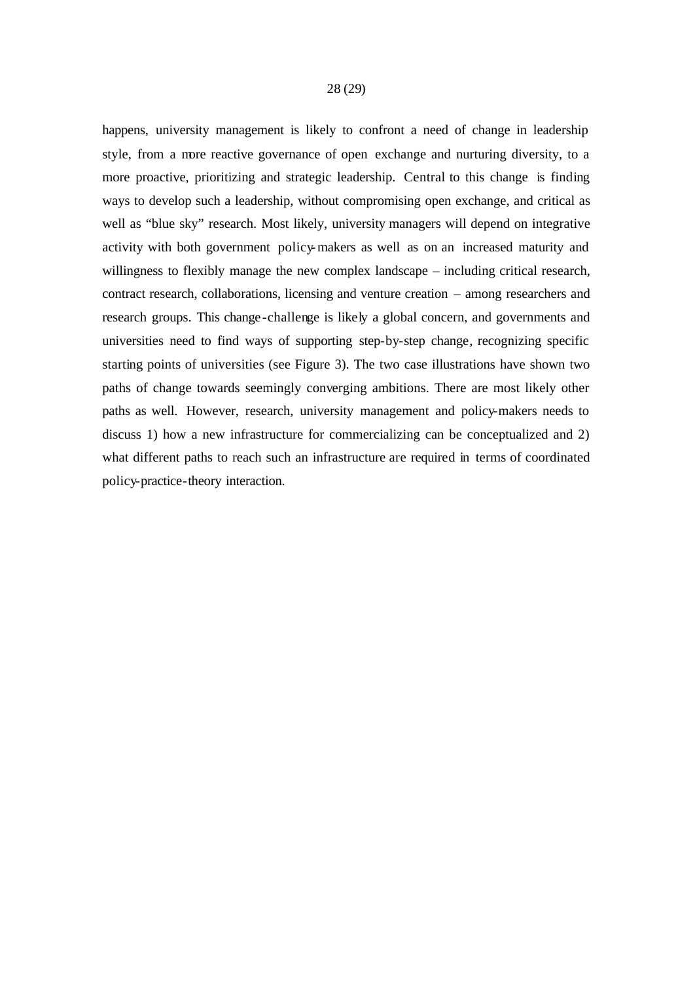happens, university management is likely to confront a need of change in leadership style, from a more reactive governance of open exchange and nurturing diversity, to a more proactive, prioritizing and strategic leadership. Central to this change is finding ways to develop such a leadership, without compromising open exchange, and critical as well as "blue sky" research. Most likely, university managers will depend on integrative activity with both government policy-makers as well as on an increased maturity and willingness to flexibly manage the new complex landscape – including critical research, contract research, collaborations, licensing and venture creation – among researchers and research groups. This change-challenge is likely a global concern, and governments and universities need to find ways of supporting step-by-step change, recognizing specific starting points of universities (see Figure 3). The two case illustrations have shown two paths of change towards seemingly converging ambitions. There are most likely other paths as well. However, research, university management and policy-makers needs to discuss 1) how a new infrastructure for commercializing can be conceptualized and 2) what different paths to reach such an infrastructure are required in terms of coordinated policy-practice-theory interaction.